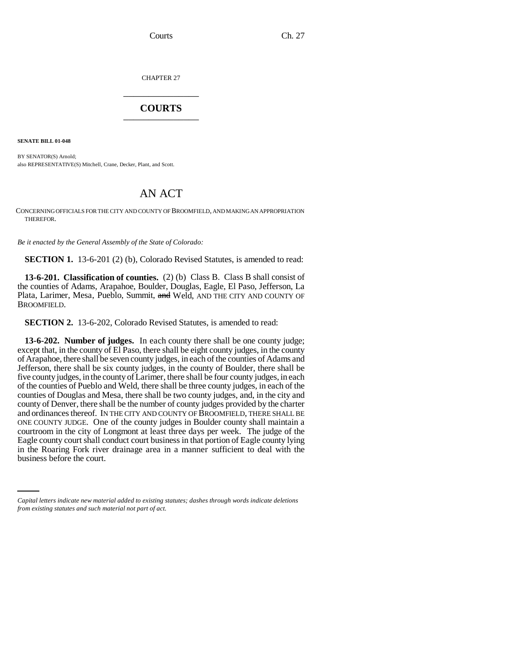Courts Ch. 27

CHAPTER 27 \_\_\_\_\_\_\_\_\_\_\_\_\_\_\_

## **COURTS** \_\_\_\_\_\_\_\_\_\_\_\_\_\_\_

**SENATE BILL 01-048**

BY SENATOR(S) Arnold; also REPRESENTATIVE(S) Mitchell, Crane, Decker, Plant, and Scott.

## AN ACT

CONCERNING OFFICIALS FOR THE CITY AND COUNTY OF BROOMFIELD, AND MAKING AN APPROPRIATION THEREFOR.

*Be it enacted by the General Assembly of the State of Colorado:*

**SECTION 1.** 13-6-201 (2) (b), Colorado Revised Statutes, is amended to read:

**13-6-201. Classification of counties.** (2) (b) Class B. Class B shall consist of the counties of Adams, Arapahoe, Boulder, Douglas, Eagle, El Paso, Jefferson, La Plata, Larimer, Mesa, Pueblo, Summit, and Weld, AND THE CITY AND COUNTY OF BROOMFIELD.

**SECTION 2.** 13-6-202, Colorado Revised Statutes, is amended to read:

in the Roaring Fork river drainage area in a manner sufficient to deal with the **13-6-202. Number of judges.** In each county there shall be one county judge; except that, in the county of El Paso, there shall be eight county judges, in the county of Arapahoe, there shall be seven county judges, in each of the counties of Adams and Jefferson, there shall be six county judges, in the county of Boulder, there shall be five county judges, in the county of Larimer, there shall be four county judges, in each of the counties of Pueblo and Weld, there shall be three county judges, in each of the counties of Douglas and Mesa, there shall be two county judges, and, in the city and county of Denver, there shall be the number of county judges provided by the charter and ordinances thereof. IN THE CITY AND COUNTY OF BROOMFIELD, THERE SHALL BE ONE COUNTY JUDGE. One of the county judges in Boulder county shall maintain a courtroom in the city of Longmont at least three days per week. The judge of the Eagle county court shall conduct court business in that portion of Eagle county lying business before the court.

*Capital letters indicate new material added to existing statutes; dashes through words indicate deletions from existing statutes and such material not part of act.*